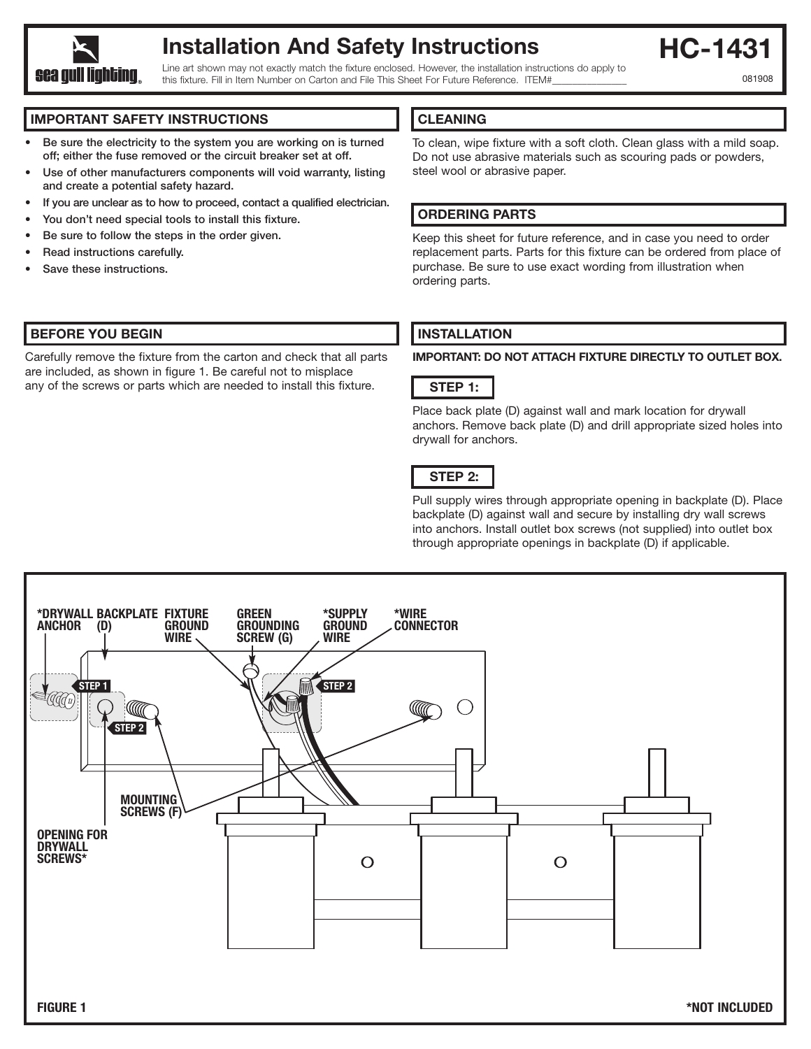

## **Installation And Safety Instructions**

Line art shown may not exactly match the fixture enclosed. However, the installation instructions do apply to this fixture. Fill in Item Number on Carton and File This Sheet For Future Reference. ITEM#

**HC-1431** 

081908

#### **IMPORTANT SAFETY INSTRUCTIONS**

- **• Be sure the electricity to the system you are working on is turned off; either the fuse removed or the circuit breaker set at off.**
- **Use of other manufacturers components will void warranty, listing and create a potential safety hazard.**
- **If you are unclear as to how to proceed, contact a qualified electrician.**
- **• You don't need special tools to install this fixture.**
- **Be sure to follow the steps in the order given.**
- **Read instructions carefully.**
- **• Save these instructions.**

#### **BEFORE YOU BEGIN**

Carefully remove the fixture from the carton and check that all parts are included, as shown in figure 1. Be careful not to misplace any of the screws or parts which are needed to install this fixture.

#### **CLEANING**

To clean, wipe fixture with a soft cloth. Clean glass with a mild soap. Do not use abrasive materials such as scouring pads or powders, steel wool or abrasive paper.

#### **ORDERING PARTS**

Keep this sheet for future reference, and in case you need to order replacement parts. Parts for this fixture can be ordered from place of purchase. Be sure to use exact wording from illustration when ordering parts.

### **INSTALLATION**

**IMPORTANT: DO NOT ATTACH FIXTURE DIRECTLY TO OUTLET BOX.**



Place back plate (D) against wall and mark location for drywall anchors. Remove back plate (D) and drill appropriate sized holes into drywall for anchors.

#### **STEP 2:**

Pull supply wires through appropriate opening in backplate (D). Place backplate (D) against wall and secure by installing dry wall screws into anchors. Install outlet box screws (not supplied) into outlet box through appropriate openings in backplate (D) if applicable.